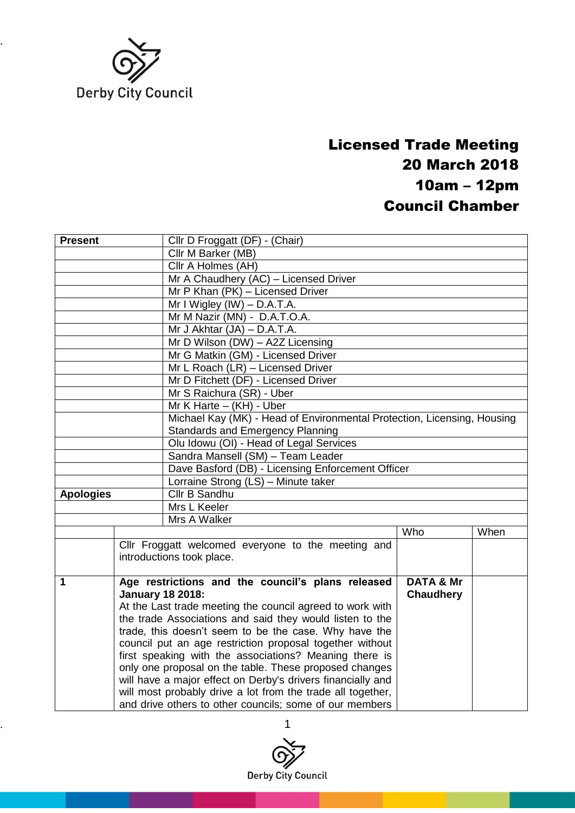

## Licensed Trade Meeting 20 March 2018 10am – 12pm Council Chamber

| <b>Present</b>                    | Cllr D Froggatt (DF) - (Chair)                                          |                      |      |  |  |
|-----------------------------------|-------------------------------------------------------------------------|----------------------|------|--|--|
|                                   | Cllr M Barker (MB)                                                      |                      |      |  |  |
|                                   | Cllr A Holmes (AH)                                                      |                      |      |  |  |
|                                   | Mr A Chaudhery (AC) - Licensed Driver                                   |                      |      |  |  |
|                                   | Mr P Khan (PK) - Licensed Driver                                        |                      |      |  |  |
|                                   | Mr I Wigley $(IW)$ – D.A.T.A.                                           |                      |      |  |  |
|                                   | Mr M Nazir (MN) - D.A.T.O.A.                                            |                      |      |  |  |
|                                   | Mr J Akhtar $(JA) - D.A.T.A$ .                                          |                      |      |  |  |
|                                   | Mr D Wilson (DW) - A2Z Licensing                                        |                      |      |  |  |
|                                   | Mr G Matkin (GM) - Licensed Driver                                      |                      |      |  |  |
|                                   | Mr L Roach (LR) - Licensed Driver                                       |                      |      |  |  |
|                                   | Mr D Fitchett (DF) - Licensed Driver                                    |                      |      |  |  |
|                                   | Mr S Raichura (SR) - Uber                                               |                      |      |  |  |
|                                   | Mr $K$ Harte $-$ (KH) - Uber                                            |                      |      |  |  |
|                                   | Michael Kay (MK) - Head of Environmental Protection, Licensing, Housing |                      |      |  |  |
|                                   | <b>Standards and Emergency Planning</b>                                 |                      |      |  |  |
|                                   | Olu Idowu (OI) - Head of Legal Services                                 |                      |      |  |  |
|                                   | Sandra Mansell (SM) - Team Leader                                       |                      |      |  |  |
|                                   | Dave Basford (DB) - Licensing Enforcement Officer                       |                      |      |  |  |
|                                   | Lorraine Strong (LS) - Minute taker                                     |                      |      |  |  |
| Cllr B Sandhu<br><b>Apologies</b> |                                                                         |                      |      |  |  |
|                                   | Mrs L Keeler                                                            |                      |      |  |  |
|                                   | Mrs A Walker                                                            |                      |      |  |  |
|                                   |                                                                         | Who                  | When |  |  |
|                                   | Cllr Froggatt welcomed everyone to the meeting and                      |                      |      |  |  |
|                                   | introductions took place.                                               |                      |      |  |  |
| 1                                 | Age restrictions and the council's plans released                       | <b>DATA &amp; Mr</b> |      |  |  |
|                                   | <b>January 18 2018:</b>                                                 | <b>Chaudhery</b>     |      |  |  |
|                                   | At the Last trade meeting the council agreed to work with               |                      |      |  |  |
|                                   | the trade Associations and said they would listen to the                |                      |      |  |  |
|                                   | trade, this doesn't seem to be the case. Why have the                   |                      |      |  |  |
|                                   | council put an age restriction proposal together without                |                      |      |  |  |
|                                   | first speaking with the associations? Meaning there is                  |                      |      |  |  |
|                                   | only one proposal on the table. These proposed changes                  |                      |      |  |  |
|                                   | will have a major effect on Derby's drivers financially and             |                      |      |  |  |
|                                   | will most probably drive a lot from the trade all together,             |                      |      |  |  |
|                                   | and drive others to other councils; some of our members                 |                      |      |  |  |

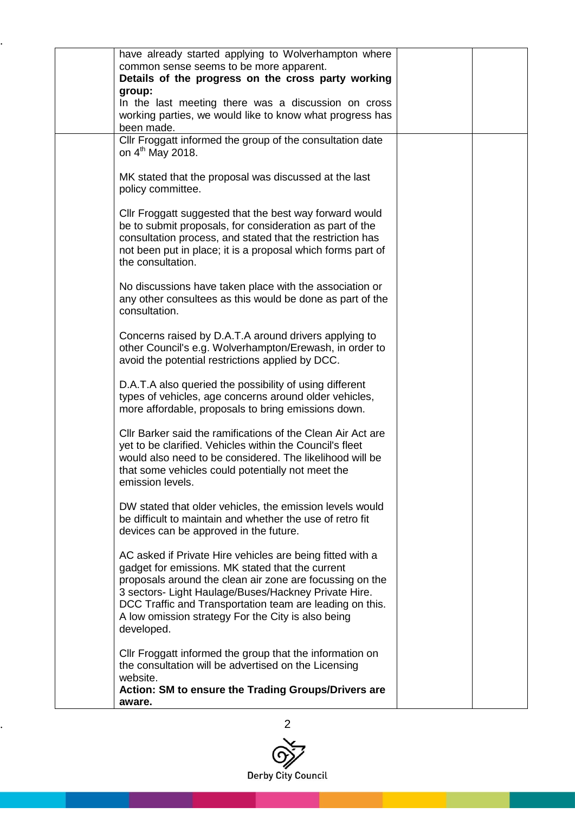| have already started applying to Wolverhampton where<br>common sense seems to be more apparent.<br>Details of the progress on the cross party working<br>group:<br>In the last meeting there was a discussion on cross<br>working parties, we would like to know what progress has<br>been made.                                                                  |  |
|-------------------------------------------------------------------------------------------------------------------------------------------------------------------------------------------------------------------------------------------------------------------------------------------------------------------------------------------------------------------|--|
| Cllr Froggatt informed the group of the consultation date<br>on $4^{\text{th}}$ May 2018.                                                                                                                                                                                                                                                                         |  |
| MK stated that the proposal was discussed at the last<br>policy committee.                                                                                                                                                                                                                                                                                        |  |
| Cllr Froggatt suggested that the best way forward would<br>be to submit proposals, for consideration as part of the<br>consultation process, and stated that the restriction has<br>not been put in place; it is a proposal which forms part of<br>the consultation.                                                                                              |  |
| No discussions have taken place with the association or<br>any other consultees as this would be done as part of the<br>consultation.                                                                                                                                                                                                                             |  |
| Concerns raised by D.A.T.A around drivers applying to<br>other Council's e.g. Wolverhampton/Erewash, in order to<br>avoid the potential restrictions applied by DCC.                                                                                                                                                                                              |  |
| D.A.T.A also queried the possibility of using different<br>types of vehicles, age concerns around older vehicles,<br>more affordable, proposals to bring emissions down.                                                                                                                                                                                          |  |
| Cllr Barker said the ramifications of the Clean Air Act are<br>yet to be clarified. Vehicles within the Council's fleet<br>would also need to be considered. The likelihood will be<br>that some vehicles could potentially not meet the<br>emission levels.                                                                                                      |  |
| DW stated that older vehicles, the emission levels would<br>be difficult to maintain and whether the use of retro fit<br>devices can be approved in the future.                                                                                                                                                                                                   |  |
| AC asked if Private Hire vehicles are being fitted with a<br>gadget for emissions. MK stated that the current<br>proposals around the clean air zone are focussing on the<br>3 sectors- Light Haulage/Buses/Hackney Private Hire.<br>DCC Traffic and Transportation team are leading on this.<br>A low omission strategy For the City is also being<br>developed. |  |
| Cllr Froggatt informed the group that the information on<br>the consultation will be advertised on the Licensing<br>website.<br>Action: SM to ensure the Trading Groups/Drivers are<br>aware.                                                                                                                                                                     |  |

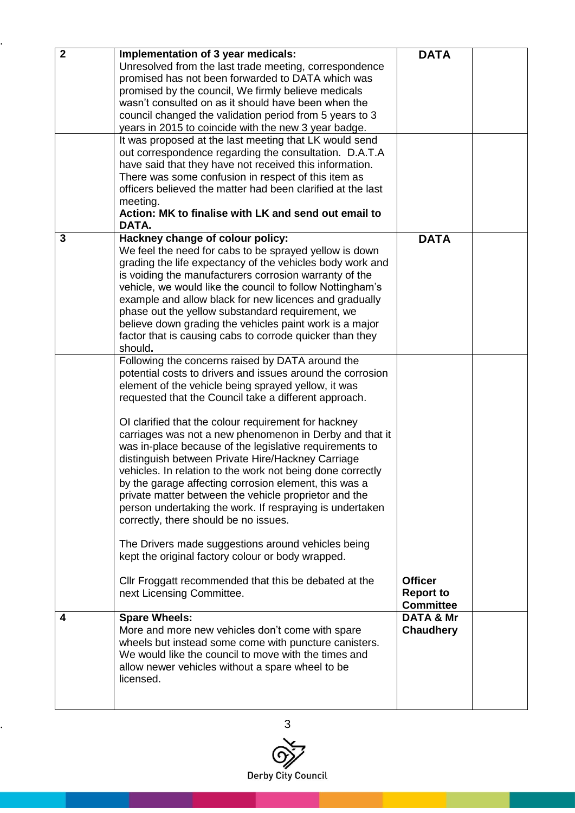| $\overline{2}$ | Implementation of 3 year medicals:                          | <b>DATA</b>          |  |
|----------------|-------------------------------------------------------------|----------------------|--|
|                |                                                             |                      |  |
|                | Unresolved from the last trade meeting, correspondence      |                      |  |
|                | promised has not been forwarded to DATA which was           |                      |  |
|                | promised by the council, We firmly believe medicals         |                      |  |
|                | wasn't consulted on as it should have been when the         |                      |  |
|                | council changed the validation period from 5 years to 3     |                      |  |
|                |                                                             |                      |  |
|                | years in 2015 to coincide with the new 3 year badge.        |                      |  |
|                | It was proposed at the last meeting that LK would send      |                      |  |
|                | out correspondence regarding the consultation. D.A.T.A      |                      |  |
|                | have said that they have not received this information.     |                      |  |
|                | There was some confusion in respect of this item as         |                      |  |
|                | officers believed the matter had been clarified at the last |                      |  |
|                | meeting.                                                    |                      |  |
|                | Action: MK to finalise with LK and send out email to        |                      |  |
|                |                                                             |                      |  |
|                | DATA.                                                       |                      |  |
| 3              | Hackney change of colour policy:                            | <b>DATA</b>          |  |
|                | We feel the need for cabs to be sprayed yellow is down      |                      |  |
|                | grading the life expectancy of the vehicles body work and   |                      |  |
|                | is voiding the manufacturers corrosion warranty of the      |                      |  |
|                | vehicle, we would like the council to follow Nottingham's   |                      |  |
|                | example and allow black for new licences and gradually      |                      |  |
|                |                                                             |                      |  |
|                | phase out the yellow substandard requirement, we            |                      |  |
|                | believe down grading the vehicles paint work is a major     |                      |  |
|                | factor that is causing cabs to corrode quicker than they    |                      |  |
|                | should.                                                     |                      |  |
|                | Following the concerns raised by DATA around the            |                      |  |
|                | potential costs to drivers and issues around the corrosion  |                      |  |
|                | element of the vehicle being sprayed yellow, it was         |                      |  |
|                | requested that the Council take a different approach.       |                      |  |
|                |                                                             |                      |  |
|                |                                                             |                      |  |
|                | OI clarified that the colour requirement for hackney        |                      |  |
|                | carriages was not a new phenomenon in Derby and that it     |                      |  |
|                | was in-place because of the legislative requirements to     |                      |  |
|                | distinguish between Private Hire/Hackney Carriage           |                      |  |
|                | vehicles. In relation to the work not being done correctly  |                      |  |
|                | by the garage affecting corrosion element, this was a       |                      |  |
|                | private matter between the vehicle proprietor and the       |                      |  |
|                | person undertaking the work. If respraying is undertaken    |                      |  |
|                | correctly, there should be no issues.                       |                      |  |
|                |                                                             |                      |  |
|                |                                                             |                      |  |
|                | The Drivers made suggestions around vehicles being          |                      |  |
|                | kept the original factory colour or body wrapped.           |                      |  |
|                |                                                             |                      |  |
|                | Cllr Froggatt recommended that this be debated at the       | <b>Officer</b>       |  |
|                | next Licensing Committee.                                   | <b>Report to</b>     |  |
|                |                                                             | <b>Committee</b>     |  |
| 4              | <b>Spare Wheels:</b>                                        | <b>DATA &amp; Mr</b> |  |
|                | More and more new vehicles don't come with spare            | <b>Chaudhery</b>     |  |
|                | wheels but instead some come with puncture canisters.       |                      |  |
|                |                                                             |                      |  |
|                | We would like the council to move with the times and        |                      |  |
|                | allow newer vehicles without a spare wheel to be            |                      |  |
|                | licensed.                                                   |                      |  |
|                |                                                             |                      |  |
|                |                                                             |                      |  |

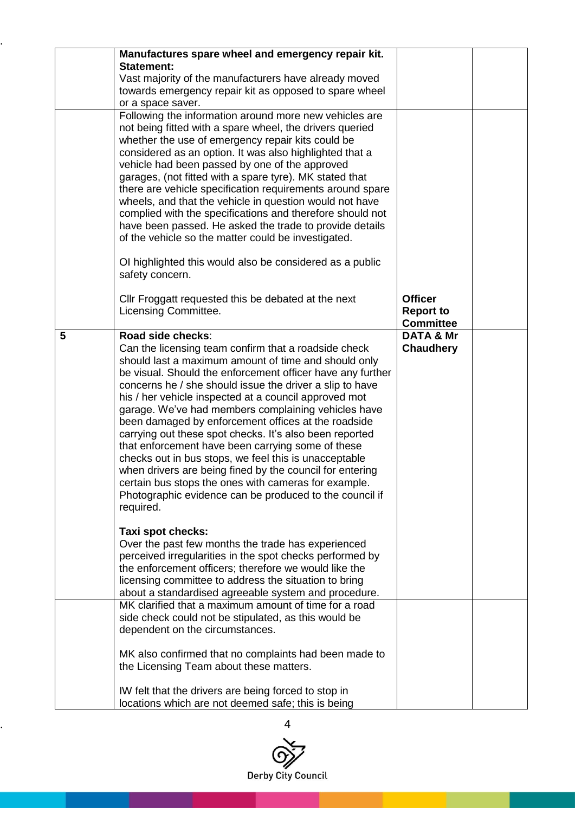|   | Manufactures spare wheel and emergency repair kit.<br><b>Statement:</b><br>Vast majority of the manufacturers have already moved<br>towards emergency repair kit as opposed to spare wheel                                                                                                                                                                                                                                                                                                                                                                                                                                                                                                                                                                                                              |                                                        |  |
|---|---------------------------------------------------------------------------------------------------------------------------------------------------------------------------------------------------------------------------------------------------------------------------------------------------------------------------------------------------------------------------------------------------------------------------------------------------------------------------------------------------------------------------------------------------------------------------------------------------------------------------------------------------------------------------------------------------------------------------------------------------------------------------------------------------------|--------------------------------------------------------|--|
|   | or a space saver.<br>Following the information around more new vehicles are<br>not being fitted with a spare wheel, the drivers queried<br>whether the use of emergency repair kits could be<br>considered as an option. It was also highlighted that a<br>vehicle had been passed by one of the approved<br>garages, (not fitted with a spare tyre). MK stated that<br>there are vehicle specification requirements around spare<br>wheels, and that the vehicle in question would not have<br>complied with the specifications and therefore should not<br>have been passed. He asked the trade to provide details<br>of the vehicle so the matter could be investigated.<br>OI highlighted this would also be considered as a public                                                                 |                                                        |  |
|   | safety concern.<br>Cllr Froggatt requested this be debated at the next<br>Licensing Committee.                                                                                                                                                                                                                                                                                                                                                                                                                                                                                                                                                                                                                                                                                                          | <b>Officer</b><br><b>Report to</b><br><b>Committee</b> |  |
| 5 | Road side checks:<br>Can the licensing team confirm that a roadside check<br>should last a maximum amount of time and should only<br>be visual. Should the enforcement officer have any further<br>concerns he / she should issue the driver a slip to have<br>his / her vehicle inspected at a council approved mot<br>garage. We've had members complaining vehicles have<br>been damaged by enforcement offices at the roadside<br>carrying out these spot checks. It's also been reported<br>that enforcement have been carrying some of these<br>checks out in bus stops, we feel this is unacceptable<br>when drivers are being fined by the council for entering<br>certain bus stops the ones with cameras for example.<br>Photographic evidence can be produced to the council if<br>required. | <b>DATA &amp; Mr</b><br><b>Chaudhery</b>               |  |
|   | Taxi spot checks:<br>Over the past few months the trade has experienced<br>perceived irregularities in the spot checks performed by<br>the enforcement officers; therefore we would like the<br>licensing committee to address the situation to bring<br>about a standardised agreeable system and procedure.                                                                                                                                                                                                                                                                                                                                                                                                                                                                                           |                                                        |  |
|   | MK clarified that a maximum amount of time for a road<br>side check could not be stipulated, as this would be<br>dependent on the circumstances.<br>MK also confirmed that no complaints had been made to<br>the Licensing Team about these matters.                                                                                                                                                                                                                                                                                                                                                                                                                                                                                                                                                    |                                                        |  |
|   | IW felt that the drivers are being forced to stop in<br>locations which are not deemed safe; this is being                                                                                                                                                                                                                                                                                                                                                                                                                                                                                                                                                                                                                                                                                              |                                                        |  |

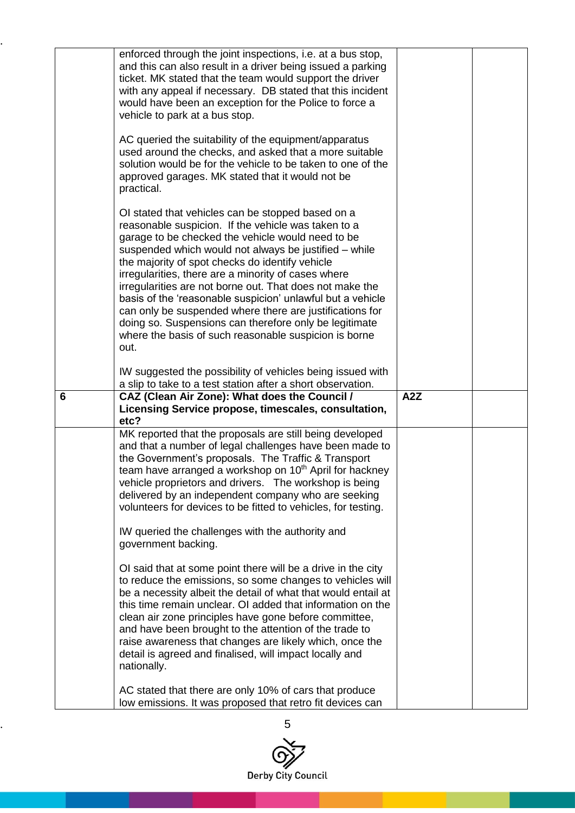|   | enforced through the joint inspections, i.e. at a bus stop,<br>and this can also result in a driver being issued a parking<br>ticket. MK stated that the team would support the driver<br>with any appeal if necessary. DB stated that this incident<br>would have been an exception for the Police to force a<br>vehicle to park at a bus stop.<br>AC queried the suitability of the equipment/apparatus<br>used around the checks, and asked that a more suitable<br>solution would be for the vehicle to be taken to one of the                                                                                                                |                  |  |
|---|---------------------------------------------------------------------------------------------------------------------------------------------------------------------------------------------------------------------------------------------------------------------------------------------------------------------------------------------------------------------------------------------------------------------------------------------------------------------------------------------------------------------------------------------------------------------------------------------------------------------------------------------------|------------------|--|
|   | approved garages. MK stated that it would not be<br>practical.                                                                                                                                                                                                                                                                                                                                                                                                                                                                                                                                                                                    |                  |  |
|   | OI stated that vehicles can be stopped based on a<br>reasonable suspicion. If the vehicle was taken to a<br>garage to be checked the vehicle would need to be<br>suspended which would not always be justified - while<br>the majority of spot checks do identify vehicle<br>irregularities, there are a minority of cases where<br>irregularities are not borne out. That does not make the<br>basis of the 'reasonable suspicion' unlawful but a vehicle<br>can only be suspended where there are justifications for<br>doing so. Suspensions can therefore only be legitimate<br>where the basis of such reasonable suspicion is borne<br>out. |                  |  |
|   | IW suggested the possibility of vehicles being issued with<br>a slip to take to a test station after a short observation.                                                                                                                                                                                                                                                                                                                                                                                                                                                                                                                         |                  |  |
| 6 | CAZ (Clean Air Zone): What does the Council /<br>Licensing Service propose, timescales, consultation,<br>etc?                                                                                                                                                                                                                                                                                                                                                                                                                                                                                                                                     | A <sub>2</sub> Z |  |
|   | MK reported that the proposals are still being developed<br>and that a number of legal challenges have been made to<br>the Government's proposals. The Traffic & Transport<br>team have arranged a workshop on 10 <sup>th</sup> April for hackney<br>vehicle proprietors and drivers. The workshop is being<br>delivered by an independent company who are seeking<br>volunteers for devices to be fitted to vehicles, for testing.                                                                                                                                                                                                               |                  |  |
|   | IW queried the challenges with the authority and<br>government backing.<br>OI said that at some point there will be a drive in the city<br>to reduce the emissions, so some changes to vehicles will<br>be a necessity albeit the detail of what that would entail at<br>this time remain unclear. Of added that information on the<br>clean air zone principles have gone before committee,<br>and have been brought to the attention of the trade to<br>raise awareness that changes are likely which, once the<br>detail is agreed and finalised, will impact locally and                                                                      |                  |  |

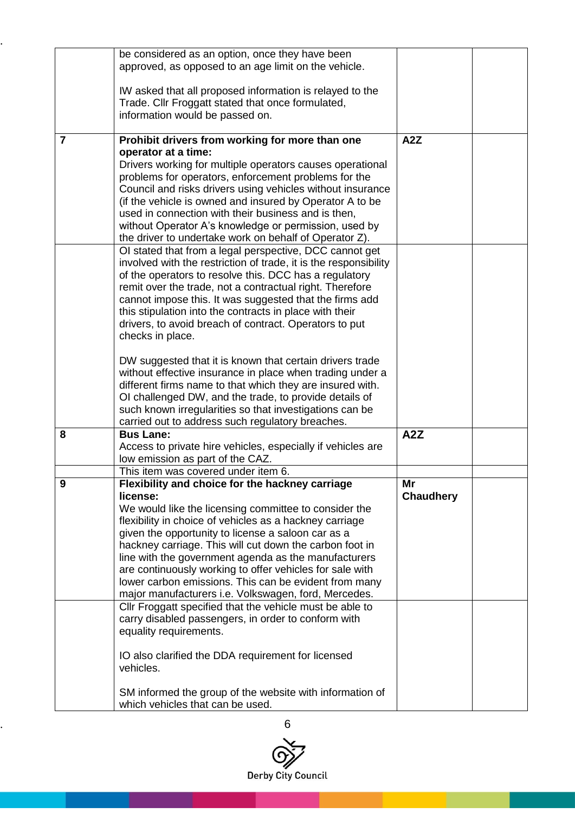|                | be considered as an option, once they have been                                                               |                  |  |
|----------------|---------------------------------------------------------------------------------------------------------------|------------------|--|
|                | approved, as opposed to an age limit on the vehicle.                                                          |                  |  |
|                |                                                                                                               |                  |  |
|                | IW asked that all proposed information is relayed to the                                                      |                  |  |
|                | Trade. Cllr Froggatt stated that once formulated,                                                             |                  |  |
|                | information would be passed on.                                                                               |                  |  |
|                |                                                                                                               |                  |  |
| $\overline{7}$ | Prohibit drivers from working for more than one                                                               | A <sub>2</sub> Z |  |
|                | operator at a time:                                                                                           |                  |  |
|                | Drivers working for multiple operators causes operational                                                     |                  |  |
|                | problems for operators, enforcement problems for the                                                          |                  |  |
|                | Council and risks drivers using vehicles without insurance                                                    |                  |  |
|                | (if the vehicle is owned and insured by Operator A to be                                                      |                  |  |
|                | used in connection with their business and is then,                                                           |                  |  |
|                | without Operator A's knowledge or permission, used by                                                         |                  |  |
|                | the driver to undertake work on behalf of Operator Z).                                                        |                  |  |
|                | OI stated that from a legal perspective, DCC cannot get                                                       |                  |  |
|                | involved with the restriction of trade, it is the responsibility                                              |                  |  |
|                | of the operators to resolve this. DCC has a regulatory                                                        |                  |  |
|                | remit over the trade, not a contractual right. Therefore                                                      |                  |  |
|                | cannot impose this. It was suggested that the firms add                                                       |                  |  |
|                | this stipulation into the contracts in place with their                                                       |                  |  |
|                | drivers, to avoid breach of contract. Operators to put                                                        |                  |  |
|                | checks in place.                                                                                              |                  |  |
|                |                                                                                                               |                  |  |
|                | DW suggested that it is known that certain drivers trade                                                      |                  |  |
|                | without effective insurance in place when trading under a                                                     |                  |  |
|                | different firms name to that which they are insured with.                                                     |                  |  |
|                | OI challenged DW, and the trade, to provide details of                                                        |                  |  |
|                | such known irregularities so that investigations can be                                                       |                  |  |
| 8              | carried out to address such regulatory breaches.<br><b>Bus Lane:</b>                                          | A2Z              |  |
|                |                                                                                                               |                  |  |
|                | Access to private hire vehicles, especially if vehicles are<br>low emission as part of the CAZ.               |                  |  |
|                | This item was covered under item 6.                                                                           |                  |  |
| 9              |                                                                                                               | Mr               |  |
|                | Flexibility and choice for the hackney carriage<br>license:                                                   | <b>Chaudhery</b> |  |
|                | We would like the licensing committee to consider the                                                         |                  |  |
|                |                                                                                                               |                  |  |
|                | flexibility in choice of vehicles as a hackney carriage<br>given the opportunity to license a saloon car as a |                  |  |
|                | hackney carriage. This will cut down the carbon foot in                                                       |                  |  |
|                | line with the government agenda as the manufacturers                                                          |                  |  |
|                | are continuously working to offer vehicles for sale with                                                      |                  |  |
|                | lower carbon emissions. This can be evident from many                                                         |                  |  |
|                | major manufacturers i.e. Volkswagen, ford, Mercedes.                                                          |                  |  |
|                |                                                                                                               |                  |  |
|                | Cllr Froggatt specified that the vehicle must be able to                                                      |                  |  |
|                | carry disabled passengers, in order to conform with<br>equality requirements.                                 |                  |  |
|                |                                                                                                               |                  |  |
|                | IO also clarified the DDA requirement for licensed                                                            |                  |  |
|                | vehicles.                                                                                                     |                  |  |
|                |                                                                                                               |                  |  |
|                | SM informed the group of the website with information of                                                      |                  |  |
|                | which vehicles that can be used.                                                                              |                  |  |
|                |                                                                                                               |                  |  |

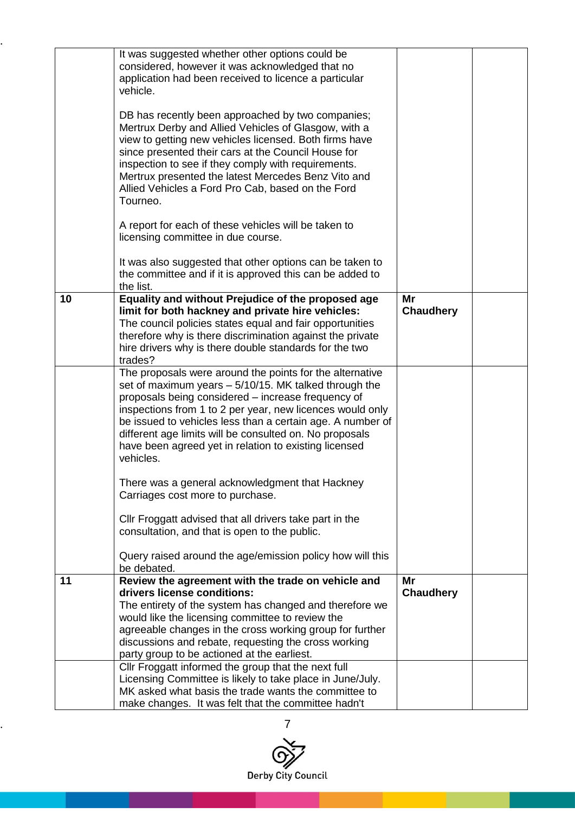|    | It was suggested whether other options could be<br>considered, however it was acknowledged that no<br>application had been received to licence a particular<br>vehicle.<br>DB has recently been approached by two companies;<br>Mertrux Derby and Allied Vehicles of Glasgow, with a<br>view to getting new vehicles licensed. Both firms have<br>since presented their cars at the Council House for<br>inspection to see if they comply with requirements.<br>Mertrux presented the latest Mercedes Benz Vito and<br>Allied Vehicles a Ford Pro Cab, based on the Ford<br>Tourneo.<br>A report for each of these vehicles will be taken to<br>licensing committee in due course. |                        |  |
|----|------------------------------------------------------------------------------------------------------------------------------------------------------------------------------------------------------------------------------------------------------------------------------------------------------------------------------------------------------------------------------------------------------------------------------------------------------------------------------------------------------------------------------------------------------------------------------------------------------------------------------------------------------------------------------------|------------------------|--|
|    | It was also suggested that other options can be taken to<br>the committee and if it is approved this can be added to<br>the list.                                                                                                                                                                                                                                                                                                                                                                                                                                                                                                                                                  |                        |  |
| 10 | Equality and without Prejudice of the proposed age<br>limit for both hackney and private hire vehicles:<br>The council policies states equal and fair opportunities<br>therefore why is there discrimination against the private<br>hire drivers why is there double standards for the two<br>trades?                                                                                                                                                                                                                                                                                                                                                                              | Mr<br><b>Chaudhery</b> |  |
|    | The proposals were around the points for the alternative<br>set of maximum years $-5/10/15$ . MK talked through the<br>proposals being considered – increase frequency of<br>inspections from 1 to 2 per year, new licences would only<br>be issued to vehicles less than a certain age. A number of<br>different age limits will be consulted on. No proposals<br>have been agreed yet in relation to existing licensed<br>vehicles.                                                                                                                                                                                                                                              |                        |  |
|    | There was a general acknowledgment that Hackney<br>Carriages cost more to purchase.                                                                                                                                                                                                                                                                                                                                                                                                                                                                                                                                                                                                |                        |  |
|    | Cllr Froggatt advised that all drivers take part in the<br>consultation, and that is open to the public.                                                                                                                                                                                                                                                                                                                                                                                                                                                                                                                                                                           |                        |  |
|    | Query raised around the age/emission policy how will this<br>be debated.                                                                                                                                                                                                                                                                                                                                                                                                                                                                                                                                                                                                           |                        |  |
| 11 | Review the agreement with the trade on vehicle and<br>drivers license conditions:<br>The entirety of the system has changed and therefore we<br>would like the licensing committee to review the<br>agreeable changes in the cross working group for further<br>discussions and rebate, requesting the cross working<br>party group to be actioned at the earliest.                                                                                                                                                                                                                                                                                                                | Mr<br><b>Chaudhery</b> |  |
|    | Cllr Froggatt informed the group that the next full<br>Licensing Committee is likely to take place in June/July.<br>MK asked what basis the trade wants the committee to<br>make changes. It was felt that the committee hadn't                                                                                                                                                                                                                                                                                                                                                                                                                                                    |                        |  |